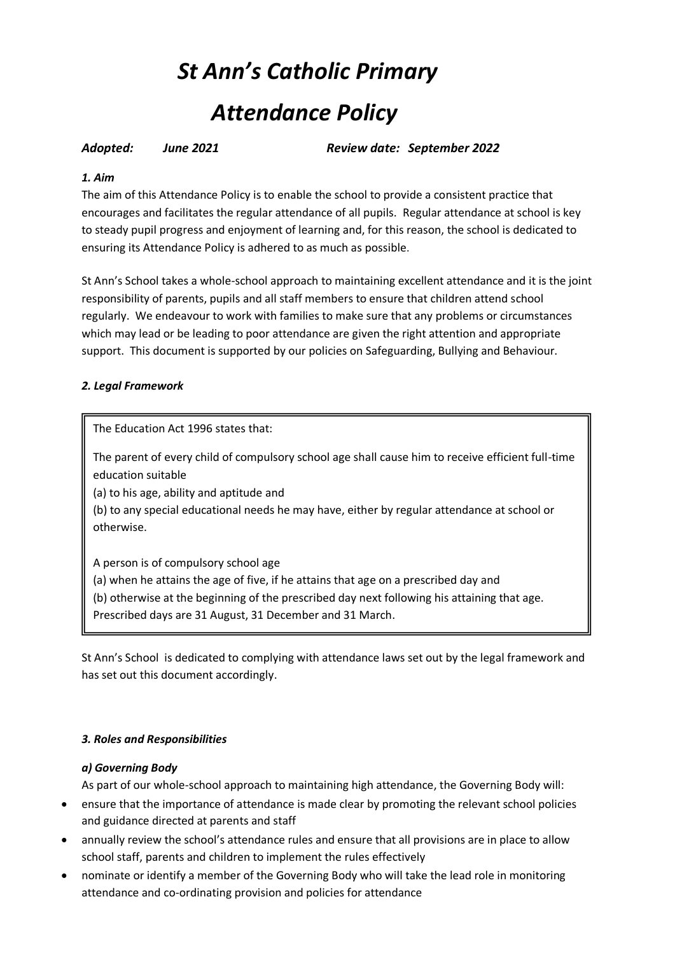# *St Ann's Catholic Primary* *Attendance Policy*

*Adopted: June 2021 Review date: September 2022*

# *1. Aim*

The aim of this Attendance Policy is to enable the school to provide a consistent practice that encourages and facilitates the regular attendance of all pupils. Regular attendance at school is key to steady pupil progress and enjoyment of learning and, for this reason, the school is dedicated to ensuring its Attendance Policy is adhered to as much as possible.

St Ann's School takes a whole-school approach to maintaining excellent attendance and it is the joint responsibility of parents, pupils and all staff members to ensure that children attend school regularly. We endeavour to work with families to make sure that any problems or circumstances which may lead or be leading to poor attendance are given the right attention and appropriate support. This document is supported by our policies on Safeguarding, Bullying and Behaviour.

# *2. Legal Framework*

The Education Act 1996 states that:

The parent of every child of compulsory school age shall cause him to receive efficient full-time education suitable

(a) to his age, ability and aptitude and

(b) to any special educational needs he may have, either by regular attendance at school or otherwise.

A person is of compulsory school age (a) when he attains the age of five, if he attains that age on a prescribed day and (b) otherwise at the beginning of the prescribed day next following his attaining that age. Prescribed days are 31 August, 31 December and 31 March.

St Ann's School is dedicated to complying with attendance laws set out by the legal framework and has set out this document accordingly.

### *3. Roles and Responsibilities*

### *a) Governing Body*

As part of our whole-school approach to maintaining high attendance, the Governing Body will:

- ensure that the importance of attendance is made clear by promoting the relevant school policies and guidance directed at parents and staff
- annually review the school's attendance rules and ensure that all provisions are in place to allow school staff, parents and children to implement the rules effectively
- nominate or identify a member of the Governing Body who will take the lead role in monitoring attendance and co-ordinating provision and policies for attendance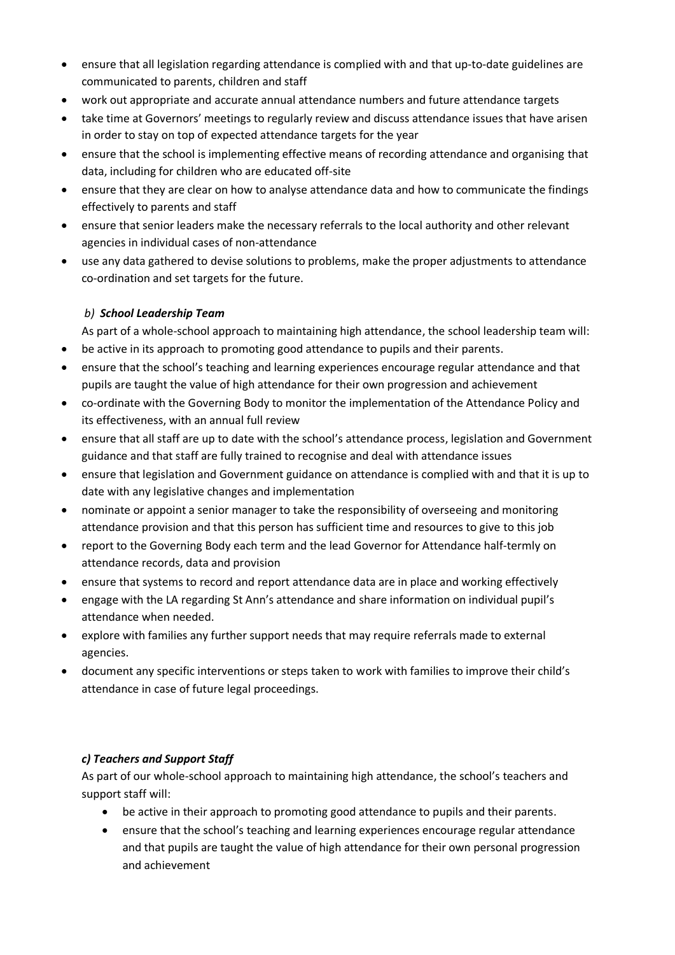- ensure that all legislation regarding attendance is complied with and that up-to-date guidelines are communicated to parents, children and staff
- work out appropriate and accurate annual attendance numbers and future attendance targets
- take time at Governors' meetings to regularly review and discuss attendance issues that have arisen in order to stay on top of expected attendance targets for the year
- ensure that the school is implementing effective means of recording attendance and organising that data, including for children who are educated off-site
- ensure that they are clear on how to analyse attendance data and how to communicate the findings effectively to parents and staff
- ensure that senior leaders make the necessary referrals to the local authority and other relevant agencies in individual cases of non-attendance
- use any data gathered to devise solutions to problems, make the proper adjustments to attendance co-ordination and set targets for the future.

# *b) School Leadership Team*

As part of a whole-school approach to maintaining high attendance, the school leadership team will:

- be active in its approach to promoting good attendance to pupils and their parents.
- ensure that the school's teaching and learning experiences encourage regular attendance and that pupils are taught the value of high attendance for their own progression and achievement
- co-ordinate with the Governing Body to monitor the implementation of the Attendance Policy and its effectiveness, with an annual full review
- ensure that all staff are up to date with the school's attendance process, legislation and Government guidance and that staff are fully trained to recognise and deal with attendance issues
- ensure that legislation and Government guidance on attendance is complied with and that it is up to date with any legislative changes and implementation
- nominate or appoint a senior manager to take the responsibility of overseeing and monitoring attendance provision and that this person has sufficient time and resources to give to this job
- report to the Governing Body each term and the lead Governor for Attendance half-termly on attendance records, data and provision
- ensure that systems to record and report attendance data are in place and working effectively
- engage with the LA regarding St Ann's attendance and share information on individual pupil's attendance when needed.
- explore with families any further support needs that may require referrals made to external agencies.
- document any specific interventions or steps taken to work with families to improve their child's attendance in case of future legal proceedings.

# *c) Teachers and Support Staff*

As part of our whole-school approach to maintaining high attendance, the school's teachers and support staff will:

- be active in their approach to promoting good attendance to pupils and their parents.
- ensure that the school's teaching and learning experiences encourage regular attendance and that pupils are taught the value of high attendance for their own personal progression and achievement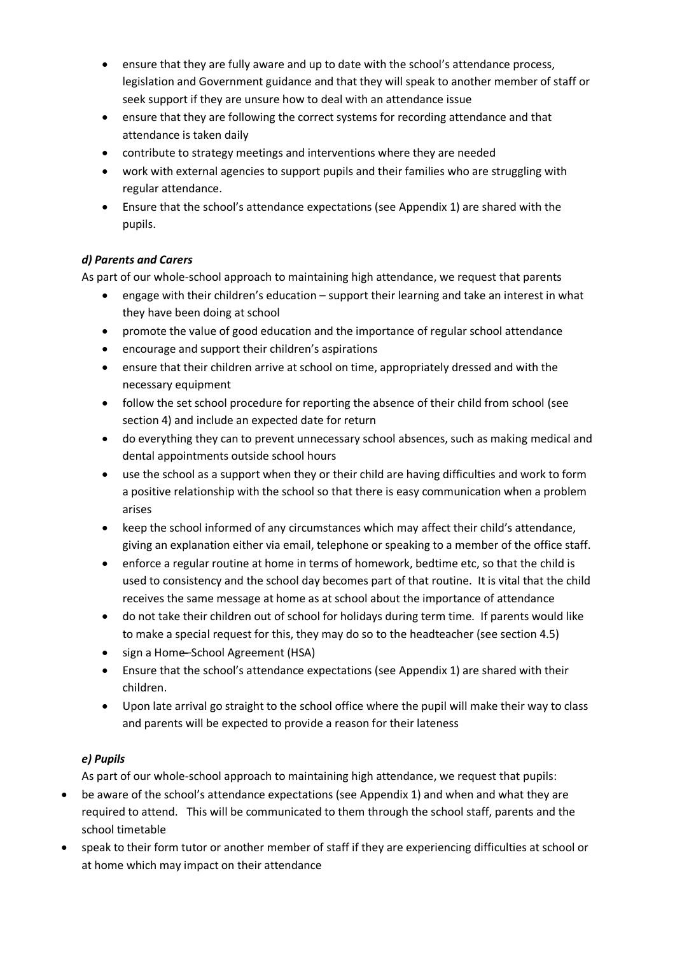- ensure that they are fully aware and up to date with the school's attendance process, legislation and Government guidance and that they will speak to another member of staff or seek support if they are unsure how to deal with an attendance issue
- ensure that they are following the correct systems for recording attendance and that attendance is taken daily
- contribute to strategy meetings and interventions where they are needed
- work with external agencies to support pupils and their families who are struggling with regular attendance.
- Ensure that the school's attendance expectations (see Appendix 1) are shared with the pupils.

# *d) Parents and Carers*

As part of our whole-school approach to maintaining high attendance, we request that parents

- engage with their children's education support their learning and take an interest in what they have been doing at school
- promote the value of good education and the importance of regular school attendance
- encourage and support their children's aspirations
- ensure that their children arrive at school on time, appropriately dressed and with the necessary equipment
- follow the set school procedure for reporting the absence of their child from school (see section 4) and include an expected date for return
- do everything they can to prevent unnecessary school absences, such as making medical and dental appointments outside school hours
- use the school as a support when they or their child are having difficulties and work to form a positive relationship with the school so that there is easy communication when a problem arises
- keep the school informed of any circumstances which may affect their child's attendance, giving an explanation either via email, telephone or speaking to a member of the office staff.
- enforce a regular routine at home in terms of homework, bedtime etc, so that the child is used to consistency and the school day becomes part of that routine. It is vital that the child receives the same message at home as at school about the importance of attendance
- do not take their children out of school for holidays during term time. If parents would like to make a special request for this, they may do so to the headteacher (see section 4.5)
- sign a Home–School Agreement (HSA)
- Ensure that the school's attendance expectations (see Appendix 1) are shared with their children.
- Upon late arrival go straight to the school office where the pupil will make their way to class and parents will be expected to provide a reason for their lateness

# *e) Pupils*

As part of our whole-school approach to maintaining high attendance, we request that pupils:

- be aware of the school's attendance expectations (see Appendix 1) and when and what they are required to attend. This will be communicated to them through the school staff, parents and the school timetable
- speak to their form tutor or another member of staff if they are experiencing difficulties at school or at home which may impact on their attendance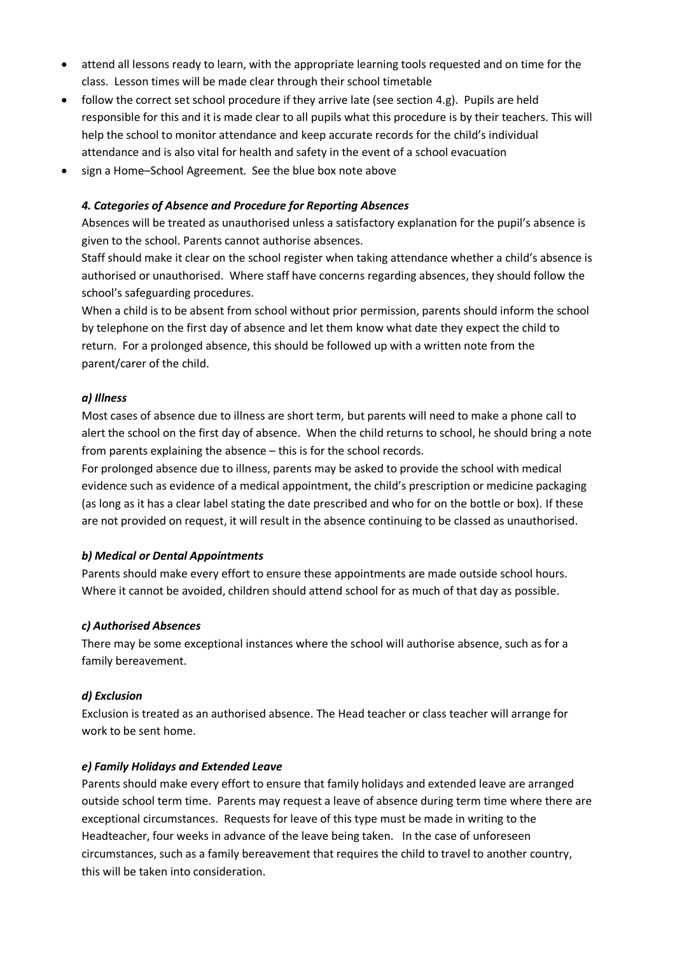- attend all lessons ready to learn, with the appropriate learning tools requested and on time for the class. Lesson times will be made clear through their school timetable
- follow the correct set school procedure if they arrive late (see section 4.g). Pupils are held responsible for this and it is made clear to all pupils what this procedure is by their teachers. This will help the school to monitor attendance and keep accurate records for the child's individual attendance and is also vital for health and safety in the event of a school evacuation
- sign a Home–School Agreement. See the blue box note above

# *4. Categories of Absence and Procedure for Reporting Absences*

Absences will be treated as unauthorised unless a satisfactory explanation for the pupil's absence is given to the school. Parents cannot authorise absences.

Staff should make it clear on the school register when taking attendance whether a child's absence is authorised or unauthorised. Where staff have concerns regarding absences, they should follow the school's safeguarding procedures.

When a child is to be absent from school without prior permission, parents should inform the school by telephone on the first day of absence and let them know what date they expect the child to return. For a prolonged absence, this should be followed up with a written note from the parent/carer of the child.

### *a) Illness*

Most cases of absence due to illness are short term, but parents will need to make a phone call to alert the school on the first day of absence. When the child returns to school, he should bring a note from parents explaining the absence – this is for the school records.

For prolonged absence due to illness, parents may be asked to provide the school with medical evidence such as evidence of a medical appointment, the child's prescription or medicine packaging (as long as it has a clear label stating the date prescribed and who for on the bottle or box). If these are not provided on request, it will result in the absence continuing to be classed as unauthorised.

### *b) Medical or Dental Appointments*

Parents should make every effort to ensure these appointments are made outside school hours. Where it cannot be avoided, children should attend school for as much of that day as possible.

### *c) Authorised Absences*

There may be some exceptional instances where the school will authorise absence, such as for a family bereavement.

### *d) Exclusion*

Exclusion is treated as an authorised absence. The Head teacher or class teacher will arrange for work to be sent home.

### *e) Family Holidays and Extended Leave*

Parents should make every effort to ensure that family holidays and extended leave are arranged outside school term time. Parents may request a leave of absence during term time where there are exceptional circumstances. Requests for leave of this type must be made in writing to the Headteacher, four weeks in advance of the leave being taken. In the case of unforeseen circumstances, such as a family bereavement that requires the child to travel to another country, this will be taken into consideration.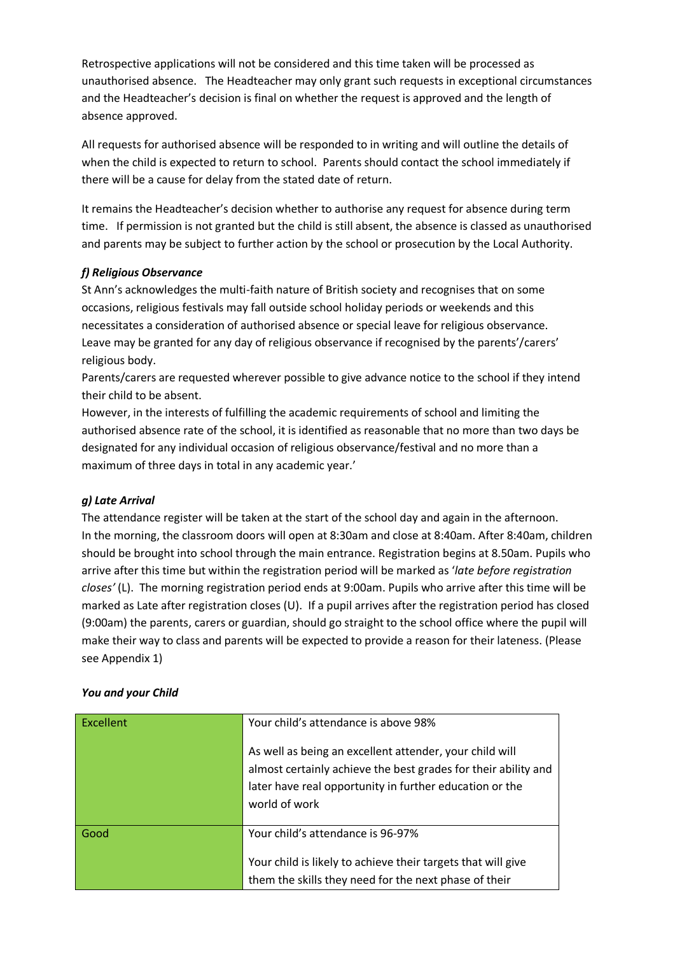Retrospective applications will not be considered and this time taken will be processed as unauthorised absence. The Headteacher may only grant such requests in exceptional circumstances and the Headteacher's decision is final on whether the request is approved and the length of absence approved.

All requests for authorised absence will be responded to in writing and will outline the details of when the child is expected to return to school. Parents should contact the school immediately if there will be a cause for delay from the stated date of return.

It remains the Headteacher's decision whether to authorise any request for absence during term time. If permission is not granted but the child is still absent, the absence is classed as unauthorised and parents may be subject to further action by the school or prosecution by the Local Authority.

# *f) Religious Observance*

St Ann's acknowledges the multi-faith nature of British society and recognises that on some occasions, religious festivals may fall outside school holiday periods or weekends and this necessitates a consideration of authorised absence or special leave for religious observance. Leave may be granted for any day of religious observance if recognised by the parents'/carers' religious body.

Parents/carers are requested wherever possible to give advance notice to the school if they intend their child to be absent.

However, in the interests of fulfilling the academic requirements of school and limiting the authorised absence rate of the school, it is identified as reasonable that no more than two days be designated for any individual occasion of religious observance/festival and no more than a maximum of three days in total in any academic year.'

### *g) Late Arrival*

The attendance register will be taken at the start of the school day and again in the afternoon. In the morning, the classroom doors will open at 8:30am and close at 8:40am. After 8:40am, children should be brought into school through the main entrance. Registration begins at 8.50am. Pupils who arrive after this time but within the registration period will be marked as '*late before registration closes'* (L). The morning registration period ends at 9:00am. Pupils who arrive after this time will be marked as Late after registration closes (U). If a pupil arrives after the registration period has closed (9:00am) the parents, carers or guardian, should go straight to the school office where the pupil will make their way to class and parents will be expected to provide a reason for their lateness. (Please see Appendix 1)

### *You and your Child*

| Excellent | Your child's attendance is above 98%<br>As well as being an excellent attender, your child will<br>almost certainly achieve the best grades for their ability and<br>later have real opportunity in further education or the<br>world of work |
|-----------|-----------------------------------------------------------------------------------------------------------------------------------------------------------------------------------------------------------------------------------------------|
| Good      | Your child's attendance is 96-97%<br>Your child is likely to achieve their targets that will give<br>them the skills they need for the next phase of their                                                                                    |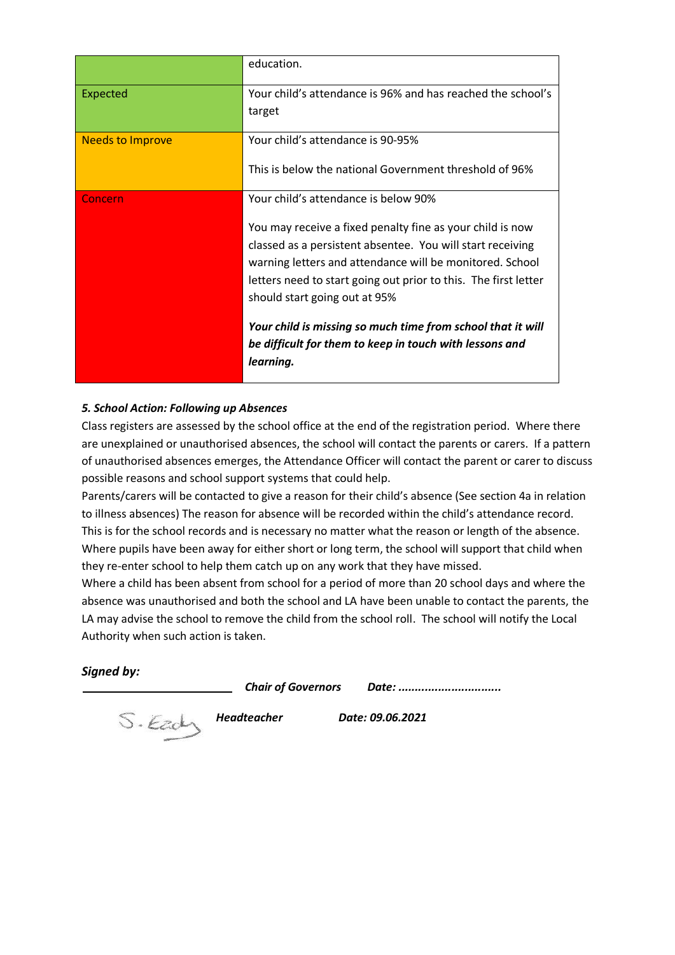|                         | education.                                                                                                                                                                                                                                                                              |
|-------------------------|-----------------------------------------------------------------------------------------------------------------------------------------------------------------------------------------------------------------------------------------------------------------------------------------|
| Expected                | Your child's attendance is 96% and has reached the school's                                                                                                                                                                                                                             |
|                         | target                                                                                                                                                                                                                                                                                  |
| <b>Needs to Improve</b> | Your child's attendance is 90-95%                                                                                                                                                                                                                                                       |
|                         | This is below the national Government threshold of 96%                                                                                                                                                                                                                                  |
| Concern                 | Your child's attendance is below 90%                                                                                                                                                                                                                                                    |
|                         | You may receive a fixed penalty fine as your child is now<br>classed as a persistent absentee. You will start receiving<br>warning letters and attendance will be monitored. School<br>letters need to start going out prior to this. The first letter<br>should start going out at 95% |
|                         | Your child is missing so much time from school that it will<br>be difficult for them to keep in touch with lessons and<br>learning.                                                                                                                                                     |

### *5. School Action: Following up Absences*

Class registers are assessed by the school office at the end of the registration period. Where there are unexplained or unauthorised absences, the school will contact the parents or carers. If a pattern of unauthorised absences emerges, the Attendance Officer will contact the parent or carer to discuss possible reasons and school support systems that could help.

Parents/carers will be contacted to give a reason for their child's absence (See section 4a in relation to illness absences) The reason for absence will be recorded within the child's attendance record. This is for the school records and is necessary no matter what the reason or length of the absence. Where pupils have been away for either short or long term, the school will support that child when they re-enter school to help them catch up on any work that they have missed.

Where a child has been absent from school for a period of more than 20 school days and where the absence was unauthorised and both the school and LA have been unable to contact the parents, the LA may advise the school to remove the child from the school roll. The school will notify the Local Authority when such action is taken.

### *Signed by:*

*Chair of Governors Date: ...............................*

 *Headteacher Date: 09.06.2021*